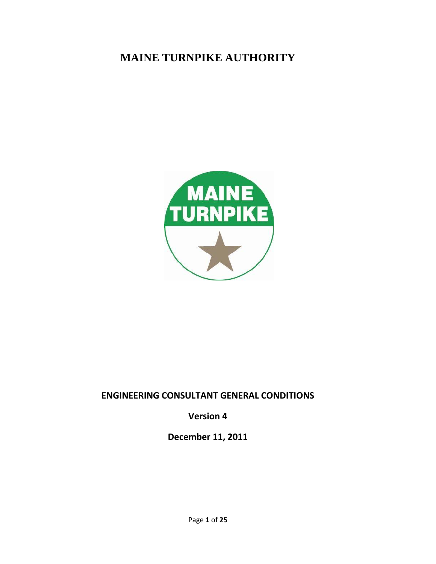# **MAINE TURNPIKE AUTHORITY**



## **ENGINEERING CONSULTANT GENERAL CONDITIONS**

**Version 4**

**December 11, 2011**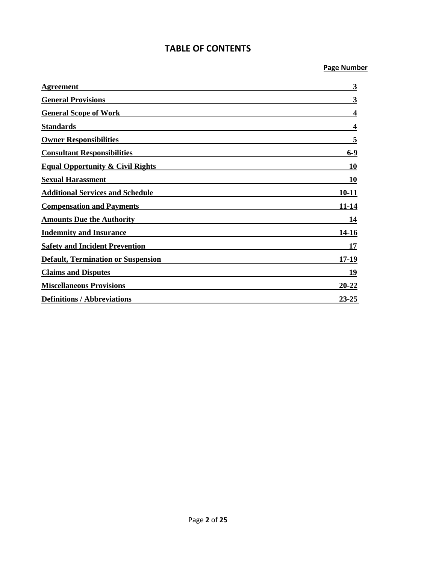## **TABLE OF CONTENTS**

**Page Number**

| <b>Agreement</b>                            | 3         |
|---------------------------------------------|-----------|
| <b>General Provisions</b>                   | 3         |
| <b>General Scope of Work</b>                | 4         |
| <b>Standards</b>                            | 4         |
| <b>Owner Responsibilities</b>               | 5         |
| <b>Consultant Responsibilities</b>          | $6-9$     |
| <b>Equal Opportunity &amp; Civil Rights</b> | <b>10</b> |
| <b>Sexual Harassment</b>                    | <b>10</b> |
| <b>Additional Services and Schedule</b>     | $10 - 11$ |
| <b>Compensation and Payments</b>            | 11-14     |
| <b>Amounts Due the Authority</b>            | 14        |
| <b>Indemnity and Insurance</b>              | 14-16     |
| <b>Safety and Incident Prevention</b>       | 17        |
| <b>Default, Termination or Suspension</b>   | 17-19     |
| <b>Claims and Disputes</b>                  | 19        |
| <b>Miscellaneous Provisions</b>             | $20 - 22$ |
| <b>Definitions / Abbreviations</b>          | 23-25     |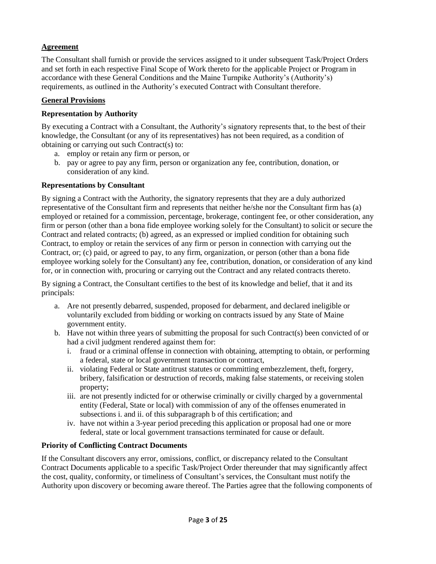### <span id="page-2-0"></span>**Agreement**

The Consultant shall furnish or provide the services assigned to it under subsequent Task/Project Orders and set forth in each respective Final Scope of Work thereto for the applicable Project or Program in accordance with these General Conditions and the Maine Turnpike Authority's (Authority's) requirements, as outlined in the Authority's executed Contract with Consultant therefore.

### <span id="page-2-1"></span>**General Provisions**

### **Representation by Authority**

By executing a Contract with a Consultant, the Authority's signatory represents that, to the best of their knowledge, the Consultant (or any of its representatives) has not been required, as a condition of obtaining or carrying out such Contract(s) to:

- a. employ or retain any firm or person, or
- b. pay or agree to pay any firm, person or organization any fee, contribution, donation, or consideration of any kind.

### **Representations by Consultant**

By signing a Contract with the Authority, the signatory represents that they are a duly authorized representative of the Consultant firm and represents that neither he/she nor the Consultant firm has (a) employed or retained for a commission, percentage, brokerage, contingent fee, or other consideration, any firm or person (other than a bona fide employee working solely for the Consultant) to solicit or secure the Contract and related contracts; (b) agreed, as an expressed or implied condition for obtaining such Contract, to employ or retain the services of any firm or person in connection with carrying out the Contract, or; (c) paid, or agreed to pay, to any firm, organization, or person (other than a bona fide employee working solely for the Consultant) any fee, contribution, donation, or consideration of any kind for, or in connection with, procuring or carrying out the Contract and any related contracts thereto.

By signing a Contract, the Consultant certifies to the best of its knowledge and belief, that it and its principals:

- a. Are not presently debarred, suspended, proposed for debarment, and declared ineligible or voluntarily excluded from bidding or working on contracts issued by any State of Maine government entity.
- b. Have not within three years of submitting the proposal for such Contract(s) been convicted of or had a civil judgment rendered against them for:
	- i. fraud or a criminal offense in connection with obtaining, attempting to obtain, or performing a federal, state or local government transaction or contract,
	- ii. violating Federal or State antitrust statutes or committing embezzlement, theft, forgery, bribery, falsification or destruction of records, making false statements, or receiving stolen property;
	- iii. are not presently indicted for or otherwise criminally or civilly charged by a governmental entity (Federal, State or local) with commission of any of the offenses enumerated in subsections i. and ii. of this subparagraph b of this certification; and
	- iv. have not within a 3-year period preceding this application or proposal had one or more federal, state or local government transactions terminated for cause or default.

### **Priority of Conflicting Contract Documents**

If the Consultant discovers any error, omissions, conflict, or discrepancy related to the Consultant Contract Documents applicable to a specific Task/Project Order thereunder that may significantly affect the cost, quality, conformity, or timeliness of Consultant's services, the Consultant must notify the Authority upon discovery or becoming aware thereof. The Parties agree that the following components of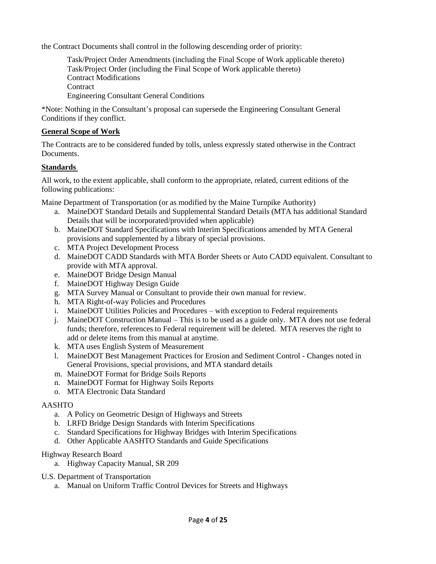the Contract Documents shall control in the following descending order of priority:

Task/Project Order Amendments (including the Final Scope of Work applicable thereto) Task/Project Order (including the Final Scope of Work applicable thereto) Contract Modifications **Contract** Engineering Consultant General Conditions

\*Note: Nothing in the Consultant's proposal can supersede the Engineering Consultant General Conditions if they conflict.

### <span id="page-3-0"></span>**General Scope of Work**

The Contracts are to be considered funded by tolls, unless expressly stated otherwise in the Contract Documents.

### <span id="page-3-1"></span>**Standards**

All work, to the extent applicable, shall conform to the appropriate, related, current editions of the following publications:

Maine Department of Transportation (or as modified by the Maine Turnpike Authority)

- a. MaineDOT Standard Details and Supplemental Standard Details (MTA has additional Standard Details that will be incorporated/provided when applicable)
- b. MaineDOT Standard Specifications with Interim Specifications amended by MTA General provisions and supplemented by a library of special provisions.
- c. MTA Project Development Process
- d. MaineDOT CADD Standards with MTA Border Sheets or Auto CADD equivalent. Consultant to provide with MTA approval.
- e. MaineDOT Bridge Design Manual
- f. MaineDOT Highway Design Guide
- g. MTA Survey Manual or Consultant to provide their own manual for review.
- h. MTA Right-of-way Policies and Procedures
- i. MaineDOT Utilities Policies and Procedures with exception to Federal requirements
- j. MaineDOT Construction Manual This is to be used as a guide only. MTA does not use federal funds; therefore, references to Federal requirement will be deleted. MTA reserves the right to add or delete items from this manual at anytime.
- k. MTA uses English System of Measurement
- l. MaineDOT Best Management Practices for Erosion and Sediment Control Changes noted in General Provisions, special provisions, and MTA standard details
- m. MaineDOT Format for Bridge Soils Reports
- n. MaineDOT Format for Highway Soils Reports
- o. MTA Electronic Data Standard

## AASHTO

- a. A Policy on Geometric Design of Highways and Streets
- b. LRFD Bridge Design Standards with Interim Specifications
- c. Standard Specifications for Highway Bridges with Interim Specifications
- d. Other Applicable AASHTO Standards and Guide Specifications

### Highway Research Board

- a. Highway Capacity Manual, SR 209
- U.S. Department of Transportation
	- a. Manual on Uniform Traffic Control Devices for Streets and Highways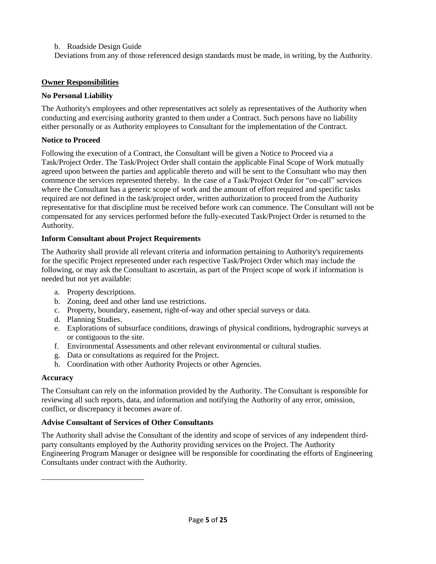b. Roadside Design Guide

<span id="page-4-0"></span>Deviations from any of those referenced design standards must be made, in writing, by the Authority.

### **Owner Responsibilities**

### **No Personal Liability**

The Authority's employees and other representatives act solely as representatives of the Authority when conducting and exercising authority granted to them under a Contract. Such persons have no liability either personally or as Authority employees to Consultant for the implementation of the Contract.

### **Notice to Proceed**

Following the execution of a Contract, the Consultant will be given a Notice to Proceed via a Task/Project Order. The Task/Project Order shall contain the applicable Final Scope of Work mutually agreed upon between the parties and applicable thereto and will be sent to the Consultant who may then commence the services represented thereby. In the case of a Task/Project Order for "on-call" services where the Consultant has a generic scope of work and the amount of effort required and specific tasks required are not defined in the task/project order, written authorization to proceed from the Authority representative for that discipline must be received before work can commence. The Consultant will not be compensated for any services performed before the fully-executed Task/Project Order is returned to the Authority.

### **Inform Consultant about Project Requirements**

The Authority shall provide all relevant criteria and information pertaining to Authority's requirements for the specific Project represented under each respective Task/Project Order which may include the following, or may ask the Consultant to ascertain, as part of the Project scope of work if information is needed but not yet available:

- a. Property descriptions.
- b. Zoning, deed and other land use restrictions.
- c. Property, boundary, easement, right-of-way and other special surveys or data.
- d. Planning Studies.
- e. Explorations of subsurface conditions, drawings of physical conditions, hydrographic surveys at or contiguous to the site.
- f. Environmental Assessments and other relevant environmental or cultural studies.
- g. Data or consultations as required for the Project.
- h. Coordination with other Authority Projects or other Agencies.

### **Accuracy**

The Consultant can rely on the information provided by the Authority. The Consultant is responsible for reviewing all such reports, data, and information and notifying the Authority of any error, omission, conflict, or discrepancy it becomes aware of.

### **Advise Consultant of Services of Other Consultants**

The Authority shall advise the Consultant of the identity and scope of services of any independent thirdparty consultants employed by the Authority providing services on the Project. The Authority Engineering Program Manager or designee will be responsible for coordinating the efforts of Engineering Consultants under contract with the Authority.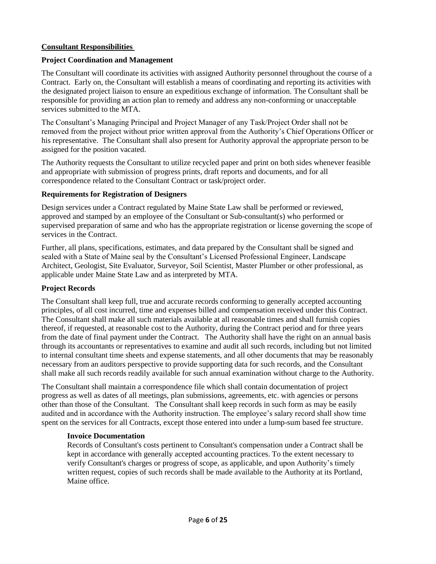### <span id="page-5-0"></span>**Consultant Responsibilities**

#### **Project Coordination and Management**

The Consultant will coordinate its activities with assigned Authority personnel throughout the course of a Contract. Early on, the Consultant will establish a means of coordinating and reporting its activities with the designated project liaison to ensure an expeditious exchange of information. The Consultant shall be responsible for providing an action plan to remedy and address any non-conforming or unacceptable services submitted to the MTA.

The Consultant's Managing Principal and Project Manager of any Task/Project Order shall not be removed from the project without prior written approval from the Authority's Chief Operations Officer or his representative. The Consultant shall also present for Authority approval the appropriate person to be assigned for the position vacated.

The Authority requests the Consultant to utilize recycled paper and print on both sides whenever feasible and appropriate with submission of progress prints, draft reports and documents, and for all correspondence related to the Consultant Contract or task/project order.

#### **Requirements for Registration of Designers**

Design services under a Contract regulated by Maine State Law shall be performed or reviewed, approved and stamped by an employee of the Consultant or Sub-consultant(s) who performed or supervised preparation of same and who has the appropriate registration or license governing the scope of services in the Contract.

Further, all plans, specifications, estimates, and data prepared by the Consultant shall be signed and sealed with a State of Maine seal by the Consultant's Licensed Professional Engineer, Landscape Architect, Geologist, Site Evaluator, Surveyor, Soil Scientist, Master Plumber or other professional, as applicable under Maine State Law and as interpreted by MTA.

### **Project Records**

The Consultant shall keep full, true and accurate records conforming to generally accepted accounting principles, of all cost incurred, time and expenses billed and compensation received under this Contract. The Consultant shall make all such materials available at all reasonable times and shall furnish copies thereof, if requested, at reasonable cost to the Authority, during the Contract period and for three years from the date of final payment under the Contract. The Authority shall have the right on an annual basis through its accountants or representatives to examine and audit all such records, including but not limited to internal consultant time sheets and expense statements, and all other documents that may be reasonably necessary from an auditors perspective to provide supporting data for such records, and the Consultant shall make all such records readily available for such annual examination without charge to the Authority.

The Consultant shall maintain a correspondence file which shall contain documentation of project progress as well as dates of all meetings, plan submissions, agreements, etc. with agencies or persons other than those of the Consultant. The Consultant shall keep records in such form as may be easily audited and in accordance with the Authority instruction. The employee's salary record shall show time spent on the services for all Contracts, except those entered into under a lump-sum based fee structure.

#### **Invoice Documentation**

Records of Consultant's costs pertinent to Consultant's compensation under a Contract shall be kept in accordance with generally accepted accounting practices. To the extent necessary to verify Consultant's charges or progress of scope, as applicable, and upon Authority's timely written request, copies of such records shall be made available to the Authority at its Portland, Maine office.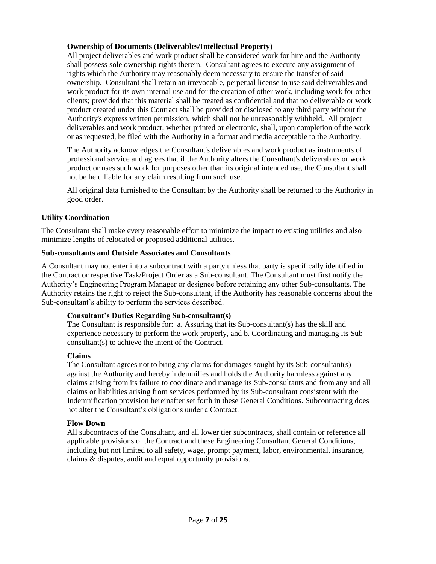### **Ownership of Documents** (**Deliverables/Intellectual Property)**

All project deliverables and work product shall be considered work for hire and the Authority shall possess sole ownership rights therein. Consultant agrees to execute any assignment of rights which the Authority may reasonably deem necessary to ensure the transfer of said ownership. Consultant shall retain an irrevocable, perpetual license to use said deliverables and work product for its own internal use and for the creation of other work, including work for other clients; provided that this material shall be treated as confidential and that no deliverable or work product created under this Contract shall be provided or disclosed to any third party without the Authority's express written permission, which shall not be unreasonably withheld. All project deliverables and work product, whether printed or electronic, shall, upon completion of the work or as requested, be filed with the Authority in a format and media acceptable to the Authority.

The Authority acknowledges the Consultant's deliverables and work product as instruments of professional service and agrees that if the Authority alters the Consultant's deliverables or work product or uses such work for purposes other than its original intended use, the Consultant shall not be held liable for any claim resulting from such use.

All original data furnished to the Consultant by the Authority shall be returned to the Authority in good order.

#### **Utility Coordination**

The Consultant shall make every reasonable effort to minimize the impact to existing utilities and also minimize lengths of relocated or proposed additional utilities.

#### **Sub-consultants and Outside Associates and Consultants**

A Consultant may not enter into a subcontract with a party unless that party is specifically identified in the Contract or respective Task/Project Order as a Sub-consultant. The Consultant must first notify the Authority's Engineering Program Manager or designee before retaining any other Sub-consultants. The Authority retains the right to reject the Sub-consultant, if the Authority has reasonable concerns about the Sub-consultant's ability to perform the services described.

#### **Consultant's Duties Regarding Sub-consultant(s)**

The Consultant is responsible for: a. Assuring that its Sub-consultant(s) has the skill and experience necessary to perform the work properly, and b. Coordinating and managing its Subconsultant(s) to achieve the intent of the Contract.

#### **Claims**

The Consultant agrees not to bring any claims for damages sought by its Sub-consultant(s) against the Authority and hereby indemnifies and holds the Authority harmless against any claims arising from its failure to coordinate and manage its Sub-consultants and from any and all claims or liabilities arising from services performed by its Sub-consultant consistent with the Indemnification provision hereinafter set forth in these General Conditions. Subcontracting does not alter the Consultant's obligations under a Contract.

#### **Flow Down**

All subcontracts of the Consultant, and all lower tier subcontracts, shall contain or reference all applicable provisions of the Contract and these Engineering Consultant General Conditions, including but not limited to all safety, wage, prompt payment, labor, environmental, insurance, claims & disputes, audit and equal opportunity provisions.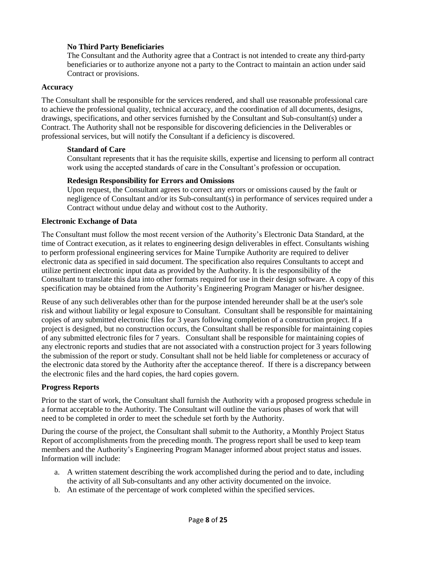### **No Third Party Beneficiaries**

The Consultant and the Authority agree that a Contract is not intended to create any third-party beneficiaries or to authorize anyone not a party to the Contract to maintain an action under said Contract or provisions.

#### **Accuracy**

The Consultant shall be responsible for the services rendered, and shall use reasonable professional care to achieve the professional quality, technical accuracy, and the coordination of all documents, designs, drawings, specifications, and other services furnished by the Consultant and Sub-consultant(s) under a Contract. The Authority shall not be responsible for discovering deficiencies in the Deliverables or professional services, but will notify the Consultant if a deficiency is discovered.

### **Standard of Care**

Consultant represents that it has the requisite skills, expertise and licensing to perform all contract work using the accepted standards of care in the Consultant's profession or occupation.

#### **Redesign Responsibility for Errors and Omissions**

Upon request, the Consultant agrees to correct any errors or omissions caused by the fault or negligence of Consultant and/or its Sub-consultant(s) in performance of services required under a Contract without undue delay and without cost to the Authority.

#### **Electronic Exchange of Data**

The Consultant must follow the most recent version of the Authority's Electronic Data Standard, at the time of Contract execution, as it relates to engineering design deliverables in effect. Consultants wishing to perform professional engineering services for Maine Turnpike Authority are required to deliver electronic data as specified in said document. The specification also requires Consultants to accept and utilize pertinent electronic input data as provided by the Authority. It is the responsibility of the Consultant to translate this data into other formats required for use in their design software. A copy of this specification may be obtained from the Authority's Engineering Program Manager or his/her designee.

Reuse of any such deliverables other than for the purpose intended hereunder shall be at the user's sole risk and without liability or legal exposure to Consultant. Consultant shall be responsible for maintaining copies of any submitted electronic files for 3 years following completion of a construction project. If a project is designed, but no construction occurs, the Consultant shall be responsible for maintaining copies of any submitted electronic files for 7 years. Consultant shall be responsible for maintaining copies of any electronic reports and studies that are not associated with a construction project for 3 years following the submission of the report or study. Consultant shall not be held liable for completeness or accuracy of the electronic data stored by the Authority after the acceptance thereof. If there is a discrepancy between the electronic files and the hard copies, the hard copies govern.

#### **Progress Reports**

Prior to the start of work, the Consultant shall furnish the Authority with a proposed progress schedule in a format acceptable to the Authority. The Consultant will outline the various phases of work that will need to be completed in order to meet the schedule set forth by the Authority.

During the course of the project, the Consultant shall submit to the Authority, a Monthly Project Status Report of accomplishments from the preceding month. The progress report shall be used to keep team members and the Authority's Engineering Program Manager informed about project status and issues. Information will include:

- a. A written statement describing the work accomplished during the period and to date, including the activity of all Sub-consultants and any other activity documented on the invoice.
- b. An estimate of the percentage of work completed within the specified services.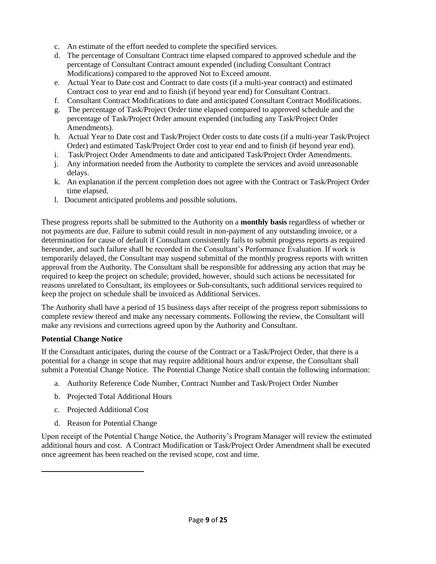- c. An estimate of the effort needed to complete the specified services.
- d. The percentage of Consultant Contract time elapsed compared to approved schedule and the percentage of Consultant Contract amount expended (including Consultant Contract Modifications) compared to the approved Not to Exceed amount.
- e. Actual Year to Date cost and Contract to date costs (if a multi-year contract) and estimated Contract cost to year end and to finish (if beyond year end) for Consultant Contract.
- f. Consultant Contract Modifications to date and anticipated Consultant Contract Modifications.
- g. The percentage of Task/Project Order time elapsed compared to approved schedule and the percentage of Task/Project Order amount expended (including any Task/Project Order Amendments).
- h. Actual Year to Date cost and Task/Project Order costs to date costs (if a multi-year Task/Project Order) and estimated Task/Project Order cost to year end and to finish (if beyond year end).
- i. Task/Project Order Amendments to date and anticipated Task/Project Order Amendments.
- j. Any information needed from the Authority to complete the services and avoid unreasonable delays.
- k. An explanation if the percent completion does not agree with the Contract or Task/Project Order time elapsed.
- l. Document anticipated problems and possible solutions.

These progress reports shall be submitted to the Authority on a **monthly basis** regardless of whether or not payments are due. Failure to submit could result in non-payment of any outstanding invoice, or a determination for cause of default if Consultant consistently fails to submit progress reports as required hereunder, and such failure shall be recorded in the Consultant's Performance Evaluation. If work is temporarily delayed, the Consultant may suspend submittal of the monthly progress reports with written approval from the Authority. The Consultant shall be responsible for addressing any action that may be required to keep the project on schedule; provided, however, should such actions be necessitated for reasons unrelated to Consultant, its employees or Sub-consultants, such additional services required to keep the project on schedule shall be invoiced as Additional Services.

The Authority shall have a period of 15 business days after receipt of the progress report submissions to complete review thereof and make any necessary comments. Following the review, the Consultant will make any revisions and corrections agreed upon by the Authority and Consultant.

### **Potential Change Notice**

If the Consultant anticipates, during the course of the Contract or a Task/Project Order, that there is a potential for a change in scope that may require additional hours and/or expense, the Consultant shall submit a Potential Change Notice. The Potential Change Notice shall contain the following information:

- a. Authority Reference Code Number, Contract Number and Task/Project Order Number
- b. Projected Total Additional Hours
- c. Projected Additional Cost
- d. Reason for Potential Change

Upon receipt of the Potential Change Notice, the Authority's Program Manager will review the estimated additional hours and cost. A Contract Modification or Task/Project Order Amendment shall be executed once agreement has been reached on the revised scope, cost and time.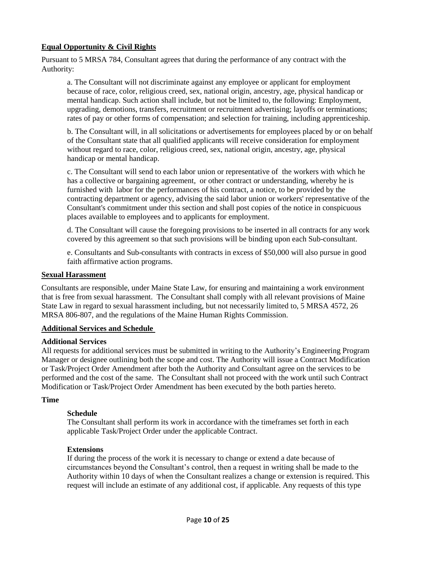### <span id="page-9-0"></span>**Equal Opportunity & Civil Rights**

Pursuant to 5 MRSA 784, Consultant agrees that during the performance of any contract with the Authority:

a. The Consultant will not discriminate against any employee or applicant for employment because of race, color, religious creed, sex, national origin, ancestry, age, physical handicap or mental handicap. Such action shall include, but not be limited to, the following: Employment, upgrading, demotions, transfers, recruitment or recruitment advertising; layoffs or terminations; rates of pay or other forms of compensation; and selection for training, including apprenticeship.

b. The Consultant will, in all solicitations or advertisements for employees placed by or on behalf of the Consultant state that all qualified applicants will receive consideration for employment without regard to race, color, religious creed, sex, national origin, ancestry, age, physical handicap or mental handicap.

c. The Consultant will send to each labor union or representative of the workers with which he has a collective or bargaining agreement, or other contract or understanding, whereby he is furnished with labor for the performances of his contract, a notice, to be provided by the contracting department or agency, advising the said labor union or workers' representative of the Consultant's commitment under this section and shall post copies of the notice in conspicuous places available to employees and to applicants for employment.

d. The Consultant will cause the foregoing provisions to be inserted in all contracts for any work covered by this agreement so that such provisions will be binding upon each Sub-consultant.

e. Consultants and Sub-consultants with contracts in excess of \$50,000 will also pursue in good faith affirmative action programs.

#### <span id="page-9-1"></span>**Sexual Harassment**

Consultants are responsible, under Maine State Law, for ensuring and maintaining a work environment that is free from sexual harassment. The Consultant shall comply with all relevant provisions of Maine State Law in regard to sexual harassment including, but not necessarily limited to, 5 MRSA 4572, 26 MRSA 806-807, and the regulations of the Maine Human Rights Commission.

#### <span id="page-9-2"></span>**Additional Services and Schedule**

#### **Additional Services**

All requests for additional services must be submitted in writing to the Authority's Engineering Program Manager or designee outlining both the scope and cost. The Authority will issue a Contract Modification or Task/Project Order Amendment after both the Authority and Consultant agree on the services to be performed and the cost of the same. The Consultant shall not proceed with the work until such Contract Modification or Task/Project Order Amendment has been executed by the both parties hereto.

#### **Time**

#### **Schedule**

The Consultant shall perform its work in accordance with the timeframes set forth in each applicable Task/Project Order under the applicable Contract.

#### **Extensions**

If during the process of the work it is necessary to change or extend a date because of circumstances beyond the Consultant's control, then a request in writing shall be made to the Authority within 10 days of when the Consultant realizes a change or extension is required. This request will include an estimate of any additional cost, if applicable. Any requests of this type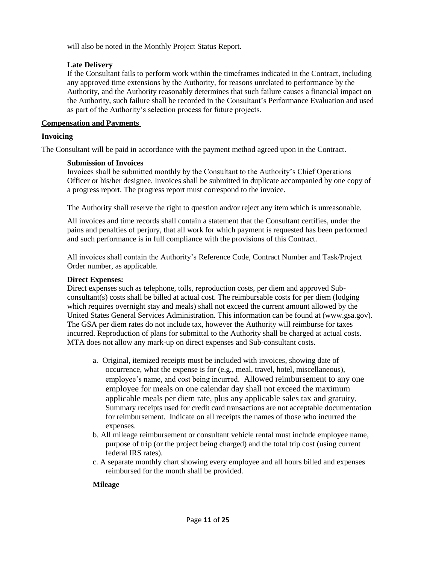will also be noted in the Monthly Project Status Report.

### **Late Delivery**

If the Consultant fails to perform work within the timeframes indicated in the Contract, including any approved time extensions by the Authority, for reasons unrelated to performance by the Authority, and the Authority reasonably determines that such failure causes a financial impact on the Authority, such failure shall be recorded in the Consultant's Performance Evaluation and used as part of the Authority's selection process for future projects.

### <span id="page-10-0"></span>**Compensation and Payments**

### **Invoicing**

The Consultant will be paid in accordance with the payment method agreed upon in the Contract.

### **Submission of Invoices**

Invoices shall be submitted monthly by the Consultant to the Authority's Chief Operations Officer or his/her designee. Invoices shall be submitted in duplicate accompanied by one copy of a progress report. The progress report must correspond to the invoice.

The Authority shall reserve the right to question and/or reject any item which is unreasonable.

All invoices and time records shall contain a statement that the Consultant certifies, under the pains and penalties of perjury, that all work for which payment is requested has been performed and such performance is in full compliance with the provisions of this Contract.

All invoices shall contain the Authority's Reference Code, Contract Number and Task/Project Order number, as applicable.

### **Direct Expenses:**

Direct expenses such as telephone, tolls, reproduction costs, per diem and approved Subconsultant(s) costs shall be billed at actual cost. The reimbursable costs for per diem (lodging which requires overnight stay and meals) shall not exceed the current amount allowed by the United States General Services Administration. This information can be found at (www.gsa.gov). The GSA per diem rates do not include tax, however the Authority will reimburse for taxes incurred. Reproduction of plans for submittal to the Authority shall be charged at actual costs. MTA does not allow any mark-up on direct expenses and Sub-consultant costs.

- a. Original, itemized receipts must be included with invoices, showing date of occurrence, what the expense is for (e.g., meal, travel, hotel, miscellaneous), employee's name, and cost being incurred. Allowed reimbursement to any one employee for meals on one calendar day shall not exceed the maximum applicable meals per diem rate, plus any applicable sales tax and gratuity. Summary receipts used for credit card transactions are not acceptable documentation for reimbursement. Indicate on all receipts the names of those who incurred the expenses.
- b. All mileage reimbursement or consultant vehicle rental must include employee name, purpose of trip (or the project being charged) and the total trip cost (using current federal IRS rates).
- c. A separate monthly chart showing every employee and all hours billed and expenses reimbursed for the month shall be provided.

### **Mileage**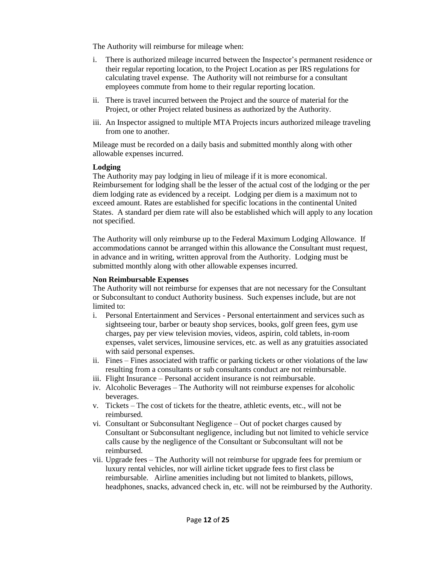The Authority will reimburse for mileage when:

- i. There is authorized mileage incurred between the Inspector's permanent residence or their regular reporting location, to the Project Location as per IRS regulations for calculating travel expense. The Authority will not reimburse for a consultant employees commute from home to their regular reporting location.
- ii. There is travel incurred between the Project and the source of material for the Project, or other Project related business as authorized by the Authority.
- iii. An Inspector assigned to multiple MTA Projects incurs authorized mileage traveling from one to another.

Mileage must be recorded on a daily basis and submitted monthly along with other allowable expenses incurred.

#### **Lodging**

The Authority may pay lodging in lieu of mileage if it is more economical. Reimbursement for lodging shall be the lesser of the actual cost of the lodging or the per diem lodging rate as evidenced by a receipt. Lodging per diem is a maximum not to exceed amount. Rates are established for specific locations in the continental United States. A standard per diem rate will also be established which will apply to any location not specified.

The Authority will only reimburse up to the Federal Maximum Lodging Allowance. If accommodations cannot be arranged within this allowance the Consultant must request, in advance and in writing, written approval from the Authority. Lodging must be submitted monthly along with other allowable expenses incurred.

#### **Non Reimbursable Expenses**

The Authority will not reimburse for expenses that are not necessary for the Consultant or Subconsultant to conduct Authority business. Such expenses include, but are not limited to:

- i. Personal Entertainment and Services Personal entertainment and services such as sightseeing tour, barber or beauty shop services, books, golf green fees, gym use charges, pay per view television movies, videos, aspirin, cold tablets, in-room expenses, valet services, limousine services, etc. as well as any gratuities associated with said personal expenses.
- ii. Fines Fines associated with traffic or parking tickets or other violations of the law resulting from a consultants or sub consultants conduct are not reimbursable.
- iii. Flight Insurance Personal accident insurance is not reimbursable.
- iv. Alcoholic Beverages The Authority will not reimburse expenses for alcoholic beverages.
- v. Tickets The cost of tickets for the theatre, athletic events, etc., will not be reimbursed.
- vi. Consultant or Subconsultant Negligence Out of pocket charges caused by Consultant or Subconsultant negligence, including but not limited to vehicle service calls cause by the negligence of the Consultant or Subconsultant will not be reimbursed.
- vii. Upgrade fees The Authority will not reimburse for upgrade fees for premium or luxury rental vehicles, nor will airline ticket upgrade fees to first class be reimbursable. Airline amenities including but not limited to blankets, pillows, headphones, snacks, advanced check in, etc. will not be reimbursed by the Authority.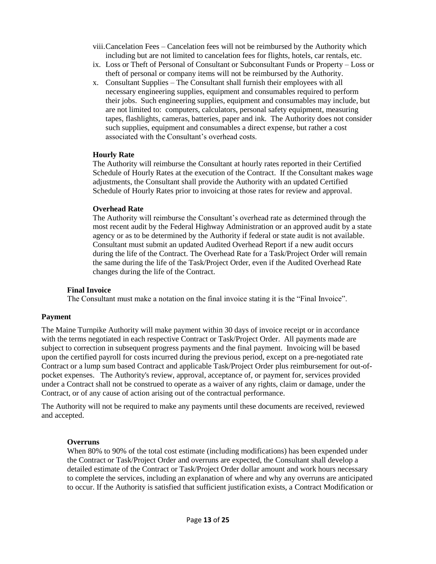- viii.Cancelation Fees Cancelation fees will not be reimbursed by the Authority which including but are not limited to cancelation fees for flights, hotels, car rentals, etc.
- ix. Loss or Theft of Personal of Consultant or Subconsultant Funds or Property Loss or theft of personal or company items will not be reimbursed by the Authority.
- x. Consultant Supplies The Consultant shall furnish their employees with all necessary engineering supplies, equipment and consumables required to perform their jobs. Such engineering supplies, equipment and consumables may include, but are not limited to: computers, calculators, personal safety equipment, measuring tapes, flashlights, cameras, batteries, paper and ink. The Authority does not consider such supplies, equipment and consumables a direct expense, but rather a cost associated with the Consultant's overhead costs.

#### **Hourly Rate**

The Authority will reimburse the Consultant at hourly rates reported in their Certified Schedule of Hourly Rates at the execution of the Contract. If the Consultant makes wage adjustments, the Consultant shall provide the Authority with an updated Certified Schedule of Hourly Rates prior to invoicing at those rates for review and approval.

#### **Overhead Rate**

The Authority will reimburse the Consultant's overhead rate as determined through the most recent audit by the Federal Highway Administration or an approved audit by a state agency or as to be determined by the Authority if federal or state audit is not available. Consultant must submit an updated Audited Overhead Report if a new audit occurs during the life of the Contract. The Overhead Rate for a Task/Project Order will remain the same during the life of the Task/Project Order, even if the Audited Overhead Rate changes during the life of the Contract.

### **Final Invoice**

The Consultant must make a notation on the final invoice stating it is the "Final Invoice".

### **Payment**

The Maine Turnpike Authority will make payment within 30 days of invoice receipt or in accordance with the terms negotiated in each respective Contract or Task/Project Order. All payments made are subject to correction in subsequent progress payments and the final payment. Invoicing will be based upon the certified payroll for costs incurred during the previous period, except on a pre-negotiated rate Contract or a lump sum based Contract and applicable Task/Project Order plus reimbursement for out-ofpocket expenses. The Authority's review, approval, acceptance of, or payment for, services provided under a Contract shall not be construed to operate as a waiver of any rights, claim or damage, under the Contract, or of any cause of action arising out of the contractual performance.

The Authority will not be required to make any payments until these documents are received, reviewed and accepted.

#### **Overruns**

When 80% to 90% of the total cost estimate (including modifications) has been expended under the Contract or Task/Project Order and overruns are expected, the Consultant shall develop a detailed estimate of the Contract or Task/Project Order dollar amount and work hours necessary to complete the services, including an explanation of where and why any overruns are anticipated to occur. If the Authority is satisfied that sufficient justification exists, a Contract Modification or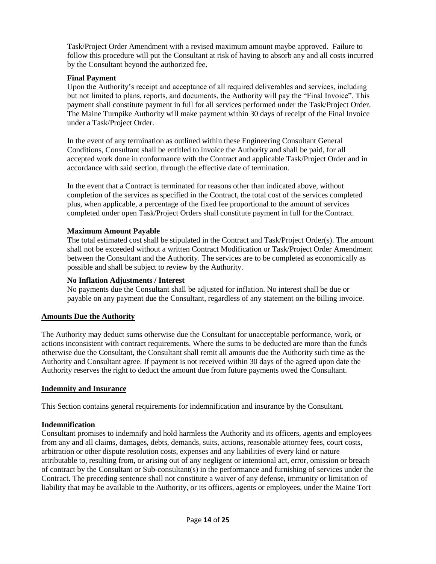Task/Project Order Amendment with a revised maximum amount maybe approved. Failure to follow this procedure will put the Consultant at risk of having to absorb any and all costs incurred by the Consultant beyond the authorized fee.

### **Final Payment**

Upon the Authority's receipt and acceptance of all required deliverables and services, including but not limited to plans, reports, and documents, the Authority will pay the "Final Invoice". This payment shall constitute payment in full for all services performed under the Task/Project Order. The Maine Turnpike Authority will make payment within 30 days of receipt of the Final Invoice under a Task/Project Order.

In the event of any termination as outlined within these Engineering Consultant General Conditions, Consultant shall be entitled to invoice the Authority and shall be paid, for all accepted work done in conformance with the Contract and applicable Task/Project Order and in accordance with said section, through the effective date of termination.

In the event that a Contract is terminated for reasons other than indicated above, without completion of the services as specified in the Contract, the total cost of the services completed plus, when applicable, a percentage of the fixed fee proportional to the amount of services completed under open Task/Project Orders shall constitute payment in full for the Contract.

#### **Maximum Amount Payable**

The total estimated cost shall be stipulated in the Contract and Task/Project Order(s). The amount shall not be exceeded without a written Contract Modification or Task/Project Order Amendment between the Consultant and the Authority. The services are to be completed as economically as possible and shall be subject to review by the Authority.

#### **No Inflation Adjustments / Interest**

No payments due the Consultant shall be adjusted for inflation. No interest shall be due or payable on any payment due the Consultant, regardless of any statement on the billing invoice.

### <span id="page-13-0"></span>**Amounts Due the Authority**

The Authority may deduct sums otherwise due the Consultant for unacceptable performance, work, or actions inconsistent with contract requirements. Where the sums to be deducted are more than the funds otherwise due the Consultant, the Consultant shall remit all amounts due the Authority such time as the Authority and Consultant agree. If payment is not received within 30 days of the agreed upon date the Authority reserves the right to deduct the amount due from future payments owed the Consultant.

### <span id="page-13-1"></span>**Indemnity and Insurance**

This Section contains general requirements for indemnification and insurance by the Consultant.

### **Indemnification**

Consultant promises to indemnify and hold harmless the Authority and its officers, agents and employees from any and all claims, damages, debts, demands, suits, actions, reasonable attorney fees, court costs, arbitration or other dispute resolution costs, expenses and any liabilities of every kind or nature attributable to, resulting from, or arising out of any negligent or intentional act, error, omission or breach of contract by the Consultant or Sub-consultant(s) in the performance and furnishing of services under the Contract. The preceding sentence shall not constitute a waiver of any defense, immunity or limitation of liability that may be available to the Authority, or its officers, agents or employees, under the Maine Tort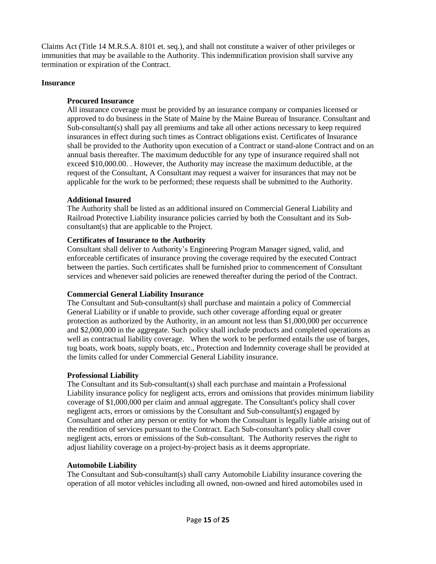Claims Act (Title 14 M.R.S.A. 8101 et. seq.), and shall not constitute a waiver of other privileges or immunities that may be available to the Authority. This indemnification provision shall survive any termination or expiration of the Contract.

#### **Insurance**

#### **Procured Insurance**

All insurance coverage must be provided by an insurance company or companies licensed or approved to do business in the State of Maine by the Maine Bureau of Insurance. Consultant and Sub-consultant(s) shall pay all premiums and take all other actions necessary to keep required insurances in effect during such times as Contract obligations exist. Certificates of Insurance shall be provided to the Authority upon execution of a Contract or stand-alone Contract and on an annual basis thereafter. The maximum deductible for any type of insurance required shall not exceed \$10,000.00. . However, the Authority may increase the maximum deductible, at the request of the Consultant, A Consultant may request a waiver for insurances that may not be applicable for the work to be performed; these requests shall be submitted to the Authority.

### **Additional Insured**

The Authority shall be listed as an additional insured on Commercial General Liability and Railroad Protective Liability insurance policies carried by both the Consultant and its Subconsultant(s) that are applicable to the Project.

#### **Certificates of Insurance to the Authority**

Consultant shall deliver to Authority's Engineering Program Manager signed, valid, and enforceable certificates of insurance proving the coverage required by the executed Contract between the parties. Such certificates shall be furnished prior to commencement of Consultant services and whenever said policies are renewed thereafter during the period of the Contract.

#### **Commercial General Liability Insurance**

The Consultant and Sub-consultant(s) shall purchase and maintain a policy of Commercial General Liability or if unable to provide, such other coverage affording equal or greater protection as authorized by the Authority, in an amount not less than \$1,000,000 per occurrence and \$2,000,000 in the aggregate. Such policy shall include products and completed operations as well as contractual liability coverage. When the work to be performed entails the use of barges, tug boats, work boats, supply boats, etc., Protection and Indemnity coverage shall be provided at the limits called for under Commercial General Liability insurance.

### **Professional Liability**

The Consultant and its Sub-consultant(s) shall each purchase and maintain a Professional Liability insurance policy for negligent acts, errors and omissions that provides minimum liability coverage of \$1,000,000 per claim and annual aggregate. The Consultant's policy shall cover negligent acts, errors or omissions by the Consultant and Sub-consultant(s) engaged by Consultant and other any person or entity for whom the Consultant is legally liable arising out of the rendition of services pursuant to the Contract. Each Sub-consultant's policy shall cover negligent acts, errors or emissions of the Sub-consultant. The Authority reserves the right to adjust liability coverage on a project-by-project basis as it deems appropriate.

#### **Automobile Liability**

The Consultant and Sub-consultant(s) shall carry Automobile Liability insurance covering the operation of all motor vehicles including all owned, non-owned and hired automobiles used in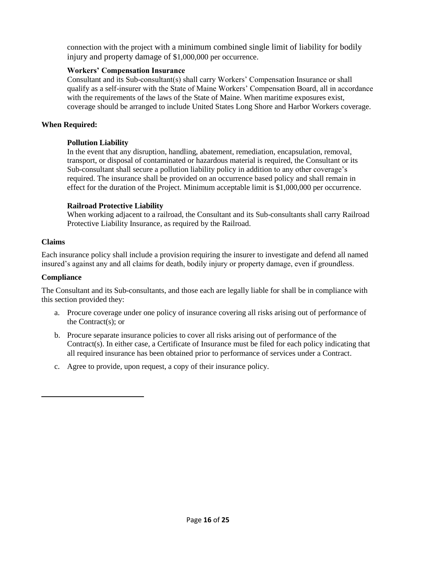connection with the project with a minimum combined single limit of liability for bodily injury and property damage of \$1,000,000 per occurrence.

### **Workers' Compensation Insurance**

Consultant and its Sub-consultant(s) shall carry Workers' Compensation Insurance or shall qualify as a self-insurer with the State of Maine Workers' Compensation Board, all in accordance with the requirements of the laws of the State of Maine. When maritime exposures exist, coverage should be arranged to include United States Long Shore and Harbor Workers coverage.

#### **When Required:**

#### **Pollution Liability**

In the event that any disruption, handling, abatement, remediation, encapsulation, removal, transport, or disposal of contaminated or hazardous material is required, the Consultant or its Sub-consultant shall secure a pollution liability policy in addition to any other coverage's required. The insurance shall be provided on an occurrence based policy and shall remain in effect for the duration of the Project. Minimum acceptable limit is \$1,000,000 per occurrence.

#### **Railroad Protective Liability**

When working adjacent to a railroad, the Consultant and its Sub-consultants shall carry Railroad Protective Liability Insurance, as required by the Railroad.

#### **Claims**

Each insurance policy shall include a provision requiring the insurer to investigate and defend all named insured's against any and all claims for death, bodily injury or property damage, even if groundless.

#### **Compliance**

The Consultant and its Sub-consultants, and those each are legally liable for shall be in compliance with this section provided they:

- a. Procure coverage under one policy of insurance covering all risks arising out of performance of the Contract(s); or
- b. Procure separate insurance policies to cover all risks arising out of performance of the Contract(s). In either case, a Certificate of Insurance must be filed for each policy indicating that all required insurance has been obtained prior to performance of services under a Contract.
- <span id="page-15-0"></span>c. Agree to provide, upon request, a copy of their insurance policy.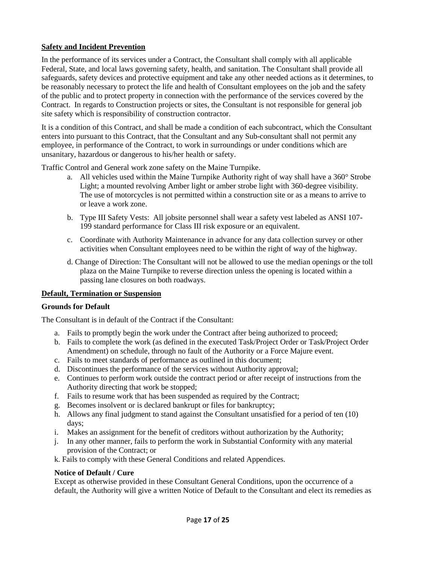### **Safety and Incident Prevention**

In the performance of its services under a Contract, the Consultant shall comply with all applicable Federal, State, and local laws governing safety, health, and sanitation. The Consultant shall provide all safeguards, safety devices and protective equipment and take any other needed actions as it determines, to be reasonably necessary to protect the life and health of Consultant employees on the job and the safety of the public and to protect property in connection with the performance of the services covered by the Contract. In regards to Construction projects or sites, the Consultant is not responsible for general job site safety which is responsibility of construction contractor.

It is a condition of this Contract, and shall be made a condition of each subcontract, which the Consultant enters into pursuant to this Contract, that the Consultant and any Sub-consultant shall not permit any employee, in performance of the Contract, to work in surroundings or under conditions which are unsanitary, hazardous or dangerous to his/her health or safety.

Traffic Control and General work zone safety on the Maine Turnpike.

- a. All vehicles used within the Maine Turnpike Authority right of way shall have a  $360^{\circ}$  Strobe Light; a mounted revolving Amber light or amber strobe light with 360-degree visibility. The use of motorcycles is not permitted within a construction site or as a means to arrive to or leave a work zone.
- b. Type III Safety Vests: All jobsite personnel shall wear a safety vest labeled as ANSI 107- 199 standard performance for Class III risk exposure or an equivalent.
- c. Coordinate with Authority Maintenance in advance for any data collection survey or other activities when Consultant employees need to be within the right of way of the highway.
- d. Change of Direction: The Consultant will not be allowed to use the median openings or the toll plaza on the Maine Turnpike to reverse direction unless the opening is located within a passing lane closures on both roadways.

#### <span id="page-16-0"></span>**Default, Termination or Suspension**

#### **Grounds for Default**

The Consultant is in default of the Contract if the Consultant:

- a. Fails to promptly begin the work under the Contract after being authorized to proceed;
- b. Fails to complete the work (as defined in the executed Task/Project Order or Task/Project Order Amendment) on schedule, through no fault of the Authority or a Force Majure event.
- c. Fails to meet standards of performance as outlined in this document;
- d. Discontinues the performance of the services without Authority approval;
- e. Continues to perform work outside the contract period or after receipt of instructions from the Authority directing that work be stopped;
- f. Fails to resume work that has been suspended as required by the Contract;
- g. Becomes insolvent or is declared bankrupt or files for bankruptcy;
- h. Allows any final judgment to stand against the Consultant unsatisfied for a period of ten (10) days;
- i. Makes an assignment for the benefit of creditors without authorization by the Authority;
- j. In any other manner, fails to perform the work in Substantial Conformity with any material provision of the Contract; or
- k. Fails to comply with these General Conditions and related Appendices.

#### **Notice of Default / Cure**

Except as otherwise provided in these Consultant General Conditions, upon the occurrence of a default, the Authority will give a written Notice of Default to the Consultant and elect its remedies as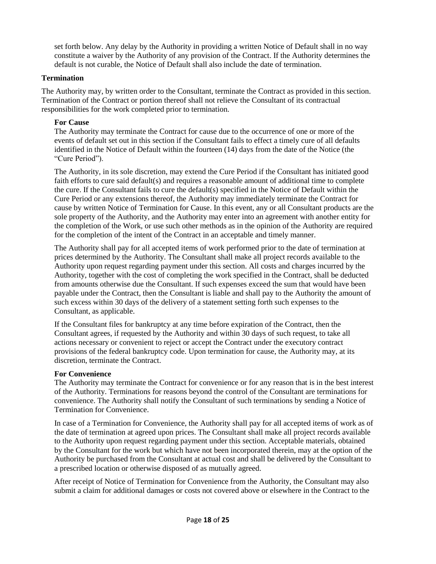set forth below. Any delay by the Authority in providing a written Notice of Default shall in no way constitute a waiver by the Authority of any provision of the Contract. If the Authority determines the default is not curable, the Notice of Default shall also include the date of termination.

#### **Termination**

The Authority may, by written order to the Consultant, terminate the Contract as provided in this section. Termination of the Contract or portion thereof shall not relieve the Consultant of its contractual responsibilities for the work completed prior to termination.

#### **For Cause**

The Authority may terminate the Contract for cause due to the occurrence of one or more of the events of default set out in this section if the Consultant fails to effect a timely cure of all defaults identified in the Notice of Default within the fourteen (14) days from the date of the Notice (the "Cure Period").

The Authority, in its sole discretion, may extend the Cure Period if the Consultant has initiated good faith efforts to cure said default(s) and requires a reasonable amount of additional time to complete the cure. If the Consultant fails to cure the default(s) specified in the Notice of Default within the Cure Period or any extensions thereof, the Authority may immediately terminate the Contract for cause by written Notice of Termination for Cause. In this event, any or all Consultant products are the sole property of the Authority, and the Authority may enter into an agreement with another entity for the completion of the Work, or use such other methods as in the opinion of the Authority are required for the completion of the intent of the Contract in an acceptable and timely manner.

The Authority shall pay for all accepted items of work performed prior to the date of termination at prices determined by the Authority. The Consultant shall make all project records available to the Authority upon request regarding payment under this section. All costs and charges incurred by the Authority, together with the cost of completing the work specified in the Contract, shall be deducted from amounts otherwise due the Consultant. If such expenses exceed the sum that would have been payable under the Contract, then the Consultant is liable and shall pay to the Authority the amount of such excess within 30 days of the delivery of a statement setting forth such expenses to the Consultant, as applicable.

If the Consultant files for bankruptcy at any time before expiration of the Contract, then the Consultant agrees, if requested by the Authority and within 30 days of such request, to take all actions necessary or convenient to reject or accept the Contract under the executory contract provisions of the federal bankruptcy code. Upon termination for cause, the Authority may, at its discretion, terminate the Contract.

#### **For Convenience**

The Authority may terminate the Contract for convenience or for any reason that is in the best interest of the Authority. Terminations for reasons beyond the control of the Consultant are terminations for convenience. The Authority shall notify the Consultant of such terminations by sending a Notice of Termination for Convenience.

In case of a Termination for Convenience, the Authority shall pay for all accepted items of work as of the date of termination at agreed upon prices. The Consultant shall make all project records available to the Authority upon request regarding payment under this section. Acceptable materials, obtained by the Consultant for the work but which have not been incorporated therein, may at the option of the Authority be purchased from the Consultant at actual cost and shall be delivered by the Consultant to a prescribed location or otherwise disposed of as mutually agreed.

After receipt of Notice of Termination for Convenience from the Authority, the Consultant may also submit a claim for additional damages or costs not covered above or elsewhere in the Contract to the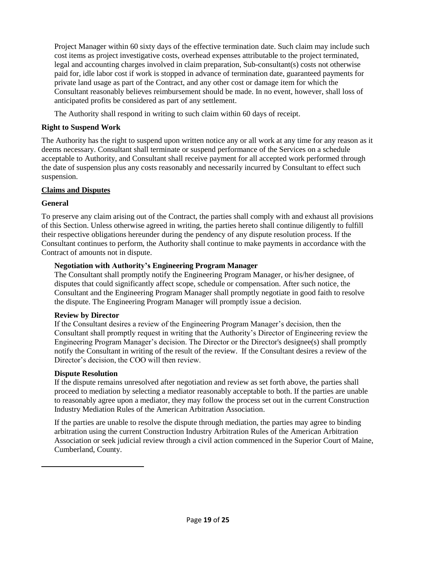Project Manager within 60 sixty days of the effective termination date. Such claim may include such cost items as project investigative costs, overhead expenses attributable to the project terminated, legal and accounting charges involved in claim preparation, Sub-consultant(s) costs not otherwise paid for, idle labor cost if work is stopped in advance of termination date, guaranteed payments for private land usage as part of the Contract, and any other cost or damage item for which the Consultant reasonably believes reimbursement should be made. In no event, however, shall loss of anticipated profits be considered as part of any settlement.

The Authority shall respond in writing to such claim within 60 days of receipt.

### **Right to Suspend Work**

The Authority has the right to suspend upon written notice any or all work at any time for any reason as it deems necessary. Consultant shall terminate or suspend performance of the Services on a schedule acceptable to Authority, and Consultant shall receive payment for all accepted work performed through the date of suspension plus any costs reasonably and necessarily incurred by Consultant to effect such suspension.

### <span id="page-18-0"></span>**Claims and Disputes**

### **General**

To preserve any claim arising out of the Contract, the parties shall comply with and exhaust all provisions of this Section. Unless otherwise agreed in writing, the parties hereto shall continue diligently to fulfill their respective obligations hereunder during the pendency of any dispute resolution process. If the Consultant continues to perform, the Authority shall continue to make payments in accordance with the Contract of amounts not in dispute.

### **Negotiation with Authority's Engineering Program Manager**

The Consultant shall promptly notify the Engineering Program Manager, or his/her designee, of disputes that could significantly affect scope, schedule or compensation. After such notice, the Consultant and the Engineering Program Manager shall promptly negotiate in good faith to resolve the dispute. The Engineering Program Manager will promptly issue a decision.

### **Review by Director**

If the Consultant desires a review of the Engineering Program Manager's decision, then the Consultant shall promptly request in writing that the Authority's Director of Engineering review the Engineering Program Manager's decision. The Director or the Director's designee(s) shall promptly notify the Consultant in writing of the result of the review. If the Consultant desires a review of the Director's decision, the COO will then review.

### **Dispute Resolution**

If the dispute remains unresolved after negotiation and review as set forth above, the parties shall proceed to mediation by selecting a mediator reasonably acceptable to both. If the parties are unable to reasonably agree upon a mediator, they may follow the process set out in the current Construction Industry Mediation Rules of the American Arbitration Association.

<span id="page-18-1"></span>If the parties are unable to resolve the dispute through mediation, the parties may agree to binding arbitration using the current Construction Industry Arbitration Rules of the American Arbitration Association or seek judicial review through a civil action commenced in the Superior Court of Maine, Cumberland, County.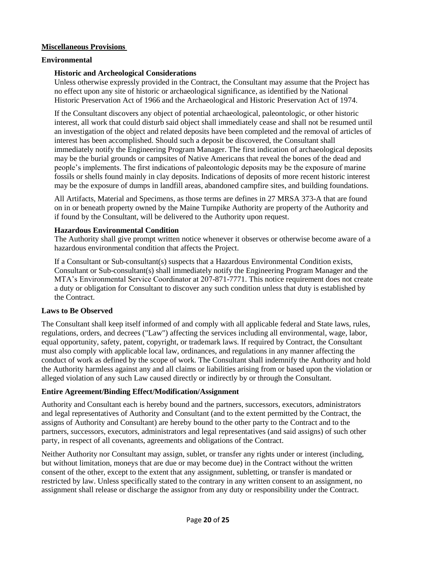#### **Miscellaneous Provisions**

#### **Environmental**

### **Historic and Archeological Considerations**

Unless otherwise expressly provided in the Contract, the Consultant may assume that the Project has no effect upon any site of historic or archaeological significance, as identified by the National Historic Preservation Act of 1966 and the Archaeological and Historic Preservation Act of 1974.

If the Consultant discovers any object of potential archaeological, paleontologic, or other historic interest, all work that could disturb said object shall immediately cease and shall not be resumed until an investigation of the object and related deposits have been completed and the removal of articles of interest has been accomplished. Should such a deposit be discovered, the Consultant shall immediately notify the Engineering Program Manager. The first indication of archaeological deposits may be the burial grounds or campsites of Native Americans that reveal the bones of the dead and people's implements. The first indications of paleontologic deposits may be the exposure of marine fossils or shells found mainly in clay deposits. Indications of deposits of more recent historic interest may be the exposure of dumps in landfill areas, abandoned campfire sites, and building foundations.

All Artifacts, Material and Specimens, as those terms are defines in 27 MRSA 373-A that are found on in or beneath property owned by the Maine Turnpike Authority are property of the Authority and if found by the Consultant, will be delivered to the Authority upon request.

#### **Hazardous Environmental Condition**

The Authority shall give prompt written notice whenever it observes or otherwise become aware of a hazardous environmental condition that affects the Project.

If a Consultant or Sub-consultant(s) suspects that a Hazardous Environmental Condition exists, Consultant or Sub-consultant(s) shall immediately notify the Engineering Program Manager and the MTA's Environmental Service Coordinator at 207-871-7771. This notice requirement does not create a duty or obligation for Consultant to discover any such condition unless that duty is established by the Contract.

#### **Laws to Be Observed**

The Consultant shall keep itself informed of and comply with all applicable federal and State laws, rules, regulations, orders, and decrees ("Law") affecting the services including all environmental, wage, labor, equal opportunity, safety, patent, copyright, or trademark laws. If required by Contract, the Consultant must also comply with applicable local law, ordinances, and regulations in any manner affecting the conduct of work as defined by the scope of work. The Consultant shall indemnify the Authority and hold the Authority harmless against any and all claims or liabilities arising from or based upon the violation or alleged violation of any such Law caused directly or indirectly by or through the Consultant.

#### **Entire Agreement/Binding Effect/Modification/Assignment**

Authority and Consultant each is hereby bound and the partners, successors, executors, administrators and legal representatives of Authority and Consultant (and to the extent permitted by the Contract, the assigns of Authority and Consultant) are hereby bound to the other party to the Contract and to the partners, successors, executors, administrators and legal representatives (and said assigns) of such other party, in respect of all covenants, agreements and obligations of the Contract.

Neither Authority nor Consultant may assign, sublet, or transfer any rights under or interest (including, but without limitation, moneys that are due or may become due) in the Contract without the written consent of the other, except to the extent that any assignment, subletting, or transfer is mandated or restricted by law. Unless specifically stated to the contrary in any written consent to an assignment, no assignment shall release or discharge the assignor from any duty or responsibility under the Contract.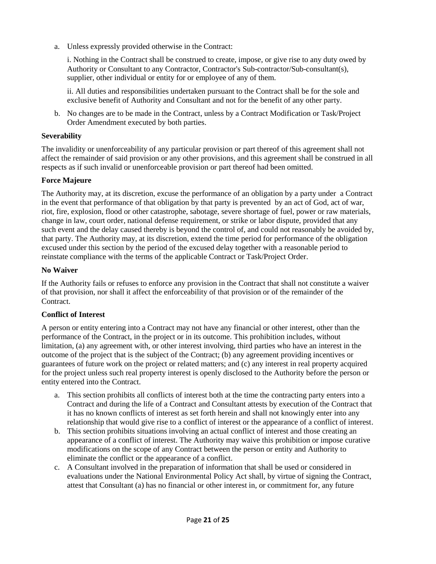a. Unless expressly provided otherwise in the Contract:

i. Nothing in the Contract shall be construed to create, impose, or give rise to any duty owed by Authority or Consultant to any Contractor, Contractor's Sub-contractor/Sub-consultant(s), supplier, other individual or entity for or employee of any of them.

ii. All duties and responsibilities undertaken pursuant to the Contract shall be for the sole and exclusive benefit of Authority and Consultant and not for the benefit of any other party.

b. No changes are to be made in the Contract, unless by a Contract Modification or Task/Project Order Amendment executed by both parties.

#### **Severability**

The invalidity or unenforceability of any particular provision or part thereof of this agreement shall not affect the remainder of said provision or any other provisions, and this agreement shall be construed in all respects as if such invalid or unenforceable provision or part thereof had been omitted.

### **Force Majeure**

The Authority may, at its discretion, excuse the performance of an obligation by a party under a Contract in the event that performance of that obligation by that party is prevented by an act of God, act of war, riot, fire, explosion, flood or other catastrophe, sabotage, severe shortage of fuel, power or raw materials, change in law, court order, national defense requirement, or strike or labor dispute, provided that any such event and the delay caused thereby is beyond the control of, and could not reasonably be avoided by, that party. The Authority may, at its discretion, extend the time period for performance of the obligation excused under this section by the period of the excused delay together with a reasonable period to reinstate compliance with the terms of the applicable Contract or Task/Project Order.

#### **No Waiver**

If the Authority fails or refuses to enforce any provision in the Contract that shall not constitute a waiver of that provision, nor shall it affect the enforceability of that provision or of the remainder of the Contract.

### **Conflict of Interest**

A person or entity entering into a Contract may not have any financial or other interest, other than the performance of the Contract, in the project or in its outcome. This prohibition includes, without limitation, (a) any agreement with, or other interest involving, third parties who have an interest in the outcome of the project that is the subject of the Contract; (b) any agreement providing incentives or guarantees of future work on the project or related matters; and (c) any interest in real property acquired for the project unless such real property interest is openly disclosed to the Authority before the person or entity entered into the Contract.

- a. This section prohibits all conflicts of interest both at the time the contracting party enters into a Contract and during the life of a Contract and Consultant attests by execution of the Contract that it has no known conflicts of interest as set forth herein and shall not knowingly enter into any relationship that would give rise to a conflict of interest or the appearance of a conflict of interest.
- b. This section prohibits situations involving an actual conflict of interest and those creating an appearance of a conflict of interest. The Authority may waive this prohibition or impose curative modifications on the scope of any Contract between the person or entity and Authority to eliminate the conflict or the appearance of a conflict.
- c. A Consultant involved in the preparation of information that shall be used or considered in evaluations under the National Environmental Policy Act shall, by virtue of signing the Contract, attest that Consultant (a) has no financial or other interest in, or commitment for, any future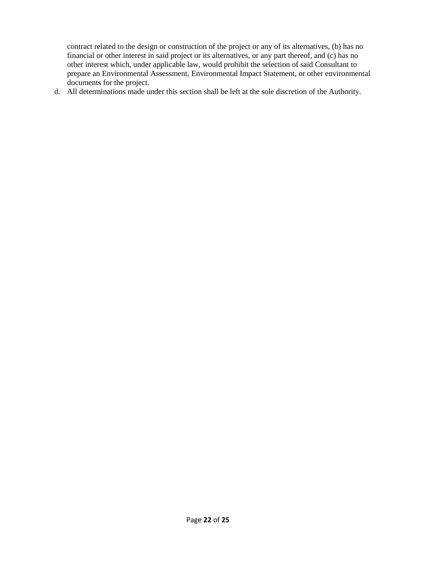contract related to the design or construction of the project or any of its alternatives, (b) has no financial or other interest in said project or its alternatives, or any part thereof, and (c) has no other interest which, under applicable law, would prohibit the selection of said Consultant to prepare an Environmental Assessment, Environmental Impact Statement, or other environmental documents for the project.

d. All determinations made under this section shall be left at the sole discretion of the Authority.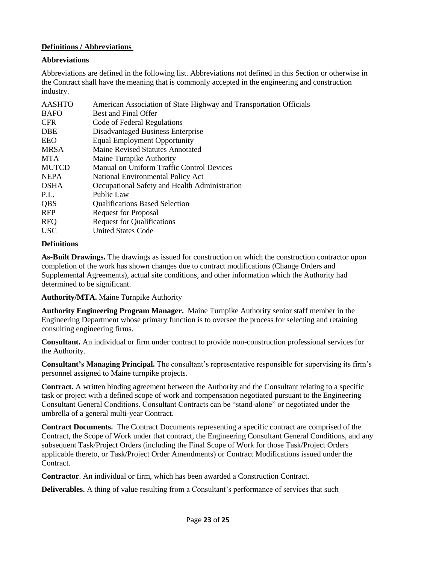### <span id="page-22-0"></span>**Definitions / Abbreviations**

### **Abbreviations**

Abbreviations are defined in the following list. Abbreviations not defined in this Section or otherwise in the Contract shall have the meaning that is commonly accepted in the engineering and construction industry.

| <b>AASHTO</b> | American Association of State Highway and Transportation Officials |
|---------------|--------------------------------------------------------------------|
| <b>BAFO</b>   | <b>Best and Final Offer</b>                                        |
| <b>CFR</b>    | Code of Federal Regulations                                        |
| <b>DBE</b>    | Disadvantaged Business Enterprise                                  |
| EEO           | <b>Equal Employment Opportunity</b>                                |
| <b>MRSA</b>   | Maine Revised Statutes Annotated                                   |
| <b>MTA</b>    | Maine Turnpike Authority                                           |
| <b>MUTCD</b>  | Manual on Uniform Traffic Control Devices                          |
| <b>NEPA</b>   | National Environmental Policy Act                                  |
| <b>OSHA</b>   | Occupational Safety and Health Administration                      |
| P.L.          | Public Law                                                         |
| <b>QBS</b>    | <b>Qualifications Based Selection</b>                              |
| <b>RFP</b>    | <b>Request for Proposal</b>                                        |
| <b>RFQ</b>    | <b>Request for Qualifications</b>                                  |
| <b>USC</b>    | <b>United States Code</b>                                          |
|               |                                                                    |

#### **Definitions**

**As-Built Drawings.** The drawings as issued for construction on which the construction contractor upon completion of the work has shown changes due to contract modifications (Change Orders and Supplemental Agreements), actual site conditions, and other information which the Authority had determined to be significant.

**Authority/MTA.** Maine Turnpike Authority

**Authority Engineering Program Manager.** Maine Turnpike Authority senior staff member in the Engineering Department whose primary function is to oversee the process for selecting and retaining consulting engineering firms.

**Consultant.** An individual or firm under contract to provide non-construction professional services for the Authority.

**Consultant's Managing Principal.** The consultant's representative responsible for supervising its firm's personnel assigned to Maine turnpike projects.

**Contract.** A written binding agreement between the Authority and the Consultant relating to a specific task or project with a defined scope of work and compensation negotiated pursuant to the Engineering Consultant General Conditions. Consultant Contracts can be "stand-alone" or negotiated under the umbrella of a general multi-year Contract.

**Contract Documents.** The Contract Documents representing a specific contract are comprised of the Contract, the Scope of Work under that contract, the Engineering Consultant General Conditions, and any subsequent Task/Project Orders (including the Final Scope of Work for those Task/Project Orders applicable thereto, or Task/Project Order Amendments) or Contract Modifications issued under the Contract.

**Contractor**. An individual or firm, which has been awarded a Construction Contract.

**Deliverables.** A thing of value resulting from a Consultant's performance of services that such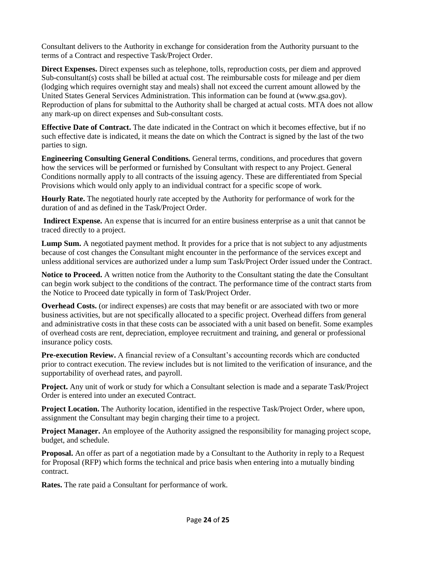Consultant delivers to the Authority in exchange for consideration from the Authority pursuant to the terms of a Contract and respective Task/Project Order.

**Direct Expenses.** Direct expenses such as telephone, tolls, reproduction costs, per diem and approved Sub-consultant(s) costs shall be billed at actual cost. The reimbursable costs for mileage and per diem (lodging which requires overnight stay and meals) shall not exceed the current amount allowed by the United States General Services Administration. This information can be found at (www.gsa.gov). Reproduction of plans for submittal to the Authority shall be charged at actual costs. MTA does not allow any mark-up on direct expenses and Sub-consultant costs.

**Effective Date of Contract.** The date indicated in the Contract on which it becomes effective, but if no such effective date is indicated, it means the date on which the Contract is signed by the last of the two parties to sign.

**Engineering Consulting General Conditions.** General terms, conditions, and procedures that govern how the services will be performed or furnished by Consultant with respect to any Project. General Conditions normally apply to all contracts of the issuing agency. These are differentiated from Special Provisions which would only apply to an individual contract for a specific scope of work.

**Hourly Rate.** The negotiated hourly rate accepted by the Authority for performance of work for the duration of and as defined in the Task/Project Order.

**Indirect Expense.** An expense that is incurred for an entire business enterprise as a unit that cannot be traced directly to a project.

**Lump Sum.** A negotiated payment method. It provides for a price that is not subject to any adjustments because of cost changes the Consultant might encounter in the performance of the services except and unless additional services are authorized under a lump sum Task/Project Order issued under the Contract.

**Notice to Proceed.** A written notice from the Authority to the Consultant stating the date the Consultant can begin work subject to the conditions of the contract. The performance time of the contract starts from the Notice to Proceed date typically in form of Task/Project Order.

**Overhead Costs.** (or indirect expenses) are costs that may benefit or are associated with two or more business activities, but are not specifically allocated to a specific project. Overhead differs from general and administrative costs in that these costs can be associated with a unit based on benefit. Some examples of overhead costs are rent, depreciation, employee recruitment and training, and general or professional insurance policy costs.

**Pre-execution Review.** A financial review of a Consultant's accounting records which are conducted prior to contract execution. The review includes but is not limited to the verification of insurance, and the supportability of overhead rates, and payroll.

**Project.** Any unit of work or study for which a Consultant selection is made and a separate Task/Project Order is entered into under an executed Contract.

**Project Location.** The Authority location, identified in the respective Task/Project Order, where upon, assignment the Consultant may begin charging their time to a project.

**Project Manager.** An employee of the Authority assigned the responsibility for managing project scope, budget, and schedule.

**Proposal.** An offer as part of a negotiation made by a Consultant to the Authority in reply to a Request for Proposal (RFP) which forms the technical and price basis when entering into a mutually binding contract.

**Rates.** The rate paid a Consultant for performance of work.